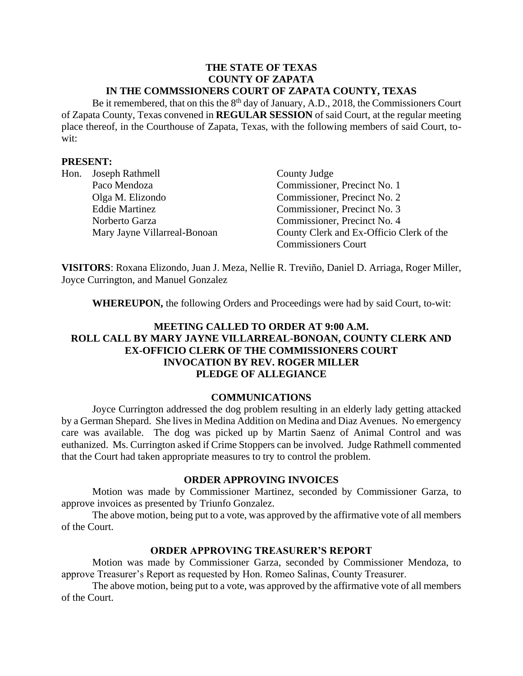#### **THE STATE OF TEXAS COUNTY OF ZAPATA IN THE COMMSSIONERS COURT OF ZAPATA COUNTY, TEXAS**

Be it remembered, that on this the  $8<sup>th</sup>$  day of January, A.D., 2018, the Commissioners Court of Zapata County, Texas convened in **REGULAR SESSION** of said Court, at the regular meeting place thereof, in the Courthouse of Zapata, Texas, with the following members of said Court, towit:

## **PRESENT:**

|  | Hon. Joseph Rathmell         | County Judge                             |
|--|------------------------------|------------------------------------------|
|  | Paco Mendoza                 | Commissioner, Precinct No. 1             |
|  | Olga M. Elizondo             | Commissioner, Precinct No. 2             |
|  | <b>Eddie Martinez</b>        | Commissioner, Precinct No. 3             |
|  | Norberto Garza               | Commissioner, Precinct No. 4             |
|  | Mary Jayne Villarreal-Bonoan | County Clerk and Ex-Officio Clerk of the |
|  |                              | <b>Commissioners Court</b>               |

**VISITORS**: Roxana Elizondo, Juan J. Meza, Nellie R. Treviño, Daniel D. Arriaga, Roger Miller, Joyce Currington, and Manuel Gonzalez

**WHEREUPON,** the following Orders and Proceedings were had by said Court, to-wit:

# **MEETING CALLED TO ORDER AT 9:00 A.M. ROLL CALL BY MARY JAYNE VILLARREAL-BONOAN, COUNTY CLERK AND EX-OFFICIO CLERK OF THE COMMISSIONERS COURT INVOCATION BY REV. ROGER MILLER PLEDGE OF ALLEGIANCE**

### **COMMUNICATIONS**

Joyce Currington addressed the dog problem resulting in an elderly lady getting attacked by a German Shepard. She lives in Medina Addition on Medina and Diaz Avenues. No emergency care was available. The dog was picked up by Martin Saenz of Animal Control and was euthanized. Ms. Currington asked if Crime Stoppers can be involved. Judge Rathmell commented that the Court had taken appropriate measures to try to control the problem.

### **ORDER APPROVING INVOICES**

Motion was made by Commissioner Martinez, seconded by Commissioner Garza, to approve invoices as presented by Triunfo Gonzalez.

The above motion, being put to a vote, was approved by the affirmative vote of all members of the Court.

### **ORDER APPROVING TREASURER'S REPORT**

Motion was made by Commissioner Garza, seconded by Commissioner Mendoza, to approve Treasurer's Report as requested by Hon. Romeo Salinas, County Treasurer.

The above motion, being put to a vote, was approved by the affirmative vote of all members of the Court.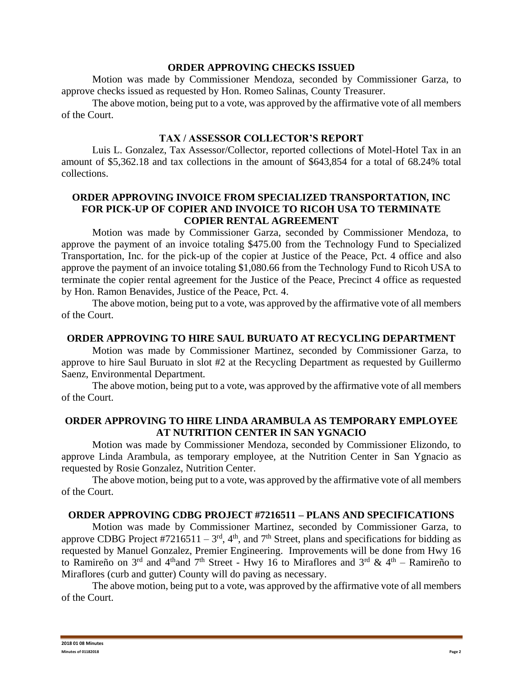### **ORDER APPROVING CHECKS ISSUED**

Motion was made by Commissioner Mendoza, seconded by Commissioner Garza, to approve checks issued as requested by Hon. Romeo Salinas, County Treasurer.

The above motion, being put to a vote, was approved by the affirmative vote of all members of the Court.

## **TAX / ASSESSOR COLLECTOR'S REPORT**

Luis L. Gonzalez, Tax Assessor/Collector, reported collections of Motel-Hotel Tax in an amount of \$5,362.18 and tax collections in the amount of \$643,854 for a total of 68.24% total collections.

# **ORDER APPROVING INVOICE FROM SPECIALIZED TRANSPORTATION, INC FOR PICK-UP OF COPIER AND INVOICE TO RICOH USA TO TERMINATE COPIER RENTAL AGREEMENT**

Motion was made by Commissioner Garza, seconded by Commissioner Mendoza, to approve the payment of an invoice totaling \$475.00 from the Technology Fund to Specialized Transportation, Inc. for the pick-up of the copier at Justice of the Peace, Pct. 4 office and also approve the payment of an invoice totaling \$1,080.66 from the Technology Fund to Ricoh USA to terminate the copier rental agreement for the Justice of the Peace, Precinct 4 office as requested by Hon. Ramon Benavides, Justice of the Peace, Pct. 4.

The above motion, being put to a vote, was approved by the affirmative vote of all members of the Court.

## **ORDER APPROVING TO HIRE SAUL BURUATO AT RECYCLING DEPARTMENT**

Motion was made by Commissioner Martinez, seconded by Commissioner Garza, to approve to hire Saul Buruato in slot #2 at the Recycling Department as requested by Guillermo Saenz, Environmental Department.

The above motion, being put to a vote, was approved by the affirmative vote of all members of the Court.

## **ORDER APPROVING TO HIRE LINDA ARAMBULA AS TEMPORARY EMPLOYEE AT NUTRITION CENTER IN SAN YGNACIO**

Motion was made by Commissioner Mendoza, seconded by Commissioner Elizondo, to approve Linda Arambula, as temporary employee, at the Nutrition Center in San Ygnacio as requested by Rosie Gonzalez, Nutrition Center.

The above motion, being put to a vote, was approved by the affirmative vote of all members of the Court.

### **ORDER APPROVING CDBG PROJECT #7216511 – PLANS AND SPECIFICATIONS**

Motion was made by Commissioner Martinez, seconded by Commissioner Garza, to approve CDBG Project #7216511 –  $3<sup>rd</sup>$ , 4<sup>th</sup>, and 7<sup>th</sup> Street, plans and specifications for bidding as requested by Manuel Gonzalez, Premier Engineering. Improvements will be done from Hwy 16 to Ramireño on 3<sup>rd</sup> and 4<sup>th</sup>and 7<sup>th</sup> Street - Hwy 16 to Miraflores and 3<sup>rd</sup> & 4<sup>th</sup> – Ramireño to Miraflores (curb and gutter) County will do paving as necessary.

The above motion, being put to a vote, was approved by the affirmative vote of all members of the Court.